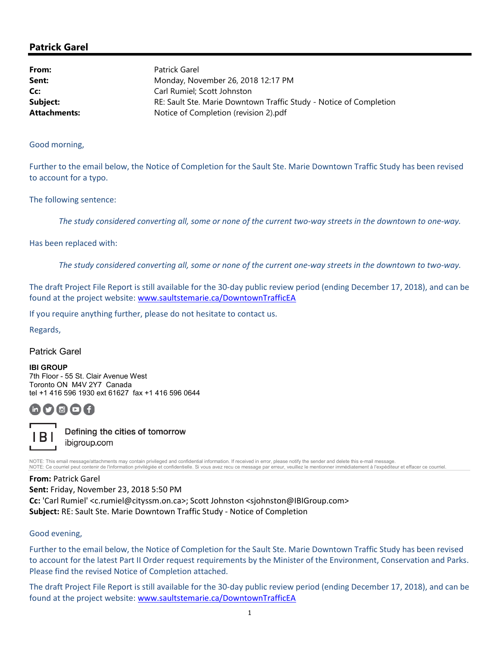### Patrick Garel

| From:               | Patrick Garel                                                                                     |  |
|---------------------|---------------------------------------------------------------------------------------------------|--|
| Sent:               | Monday, November 26, 2018 12:17 PM                                                                |  |
| Cc:                 | Carl Rumiel: Scott Johnston<br>RE: Sault Ste. Marie Downtown Traffic Study - Notice of Completion |  |
| Subject:            |                                                                                                   |  |
| <b>Attachments:</b> | Notice of Completion (revision 2).pdf                                                             |  |

Good morning,

Further to the email below, the Notice of Completion for the Sault Ste. Marie Downtown Traffic Study has been revised to account for a typo.

The following sentence:

The study considered converting all, some or none of the current two‐way streets in the downtown to one‐way.

Has been replaced with:

The study considered converting all, some or none of the current one‐way streets in the downtown to two‐way.

The draft Project File Report is still available for the 30-day public review period (ending December 17, 2018), and can be found at the project website: www.saultstemarie.ca/DowntownTrafficEA

If you require anything further, please do not hesitate to contact us.

Regards,

Patrick Garel

IBI GROUP 7th Floor - 55 St. Clair Avenue West Toronto ON M4V 2Y7 Canada tel +1 416 596 1930 ext 61627 fax +1 416 596 0644

# $\textcircled{a}$  (f)



Defining the cities of tomorrow ibigroup.com

NOTE: This email message/attachments may contain privileged and confidential information. If received in error, please notify the sender and delete this e-mail message. NOTE: Ce courriel peut contenir de l'information privilégiée et confidentielle. Si vous avez recu ce message par erreur, veuillez le mentionner immédiatement à l'expéditeur et effacer ce courriel.

#### From: Patrick Garel

Sent: Friday, November 23, 2018 5:50 PM Cc: 'Carl Rumiel' <c.rumiel@cityssm.on.ca>; Scott Johnston <sjohnston@IBIGroup.com> Subject: RE: Sault Ste. Marie Downtown Traffic Study - Notice of Completion

#### Good evening,

Further to the email below, the Notice of Completion for the Sault Ste. Marie Downtown Traffic Study has been revised to account for the latest Part II Order request requirements by the Minister of the Environment, Conservation and Parks. Please find the revised Notice of Completion attached.

The draft Project File Report is still available for the 30-day public review period (ending December 17, 2018), and can be found at the project website: www.saultstemarie.ca/DowntownTrafficEA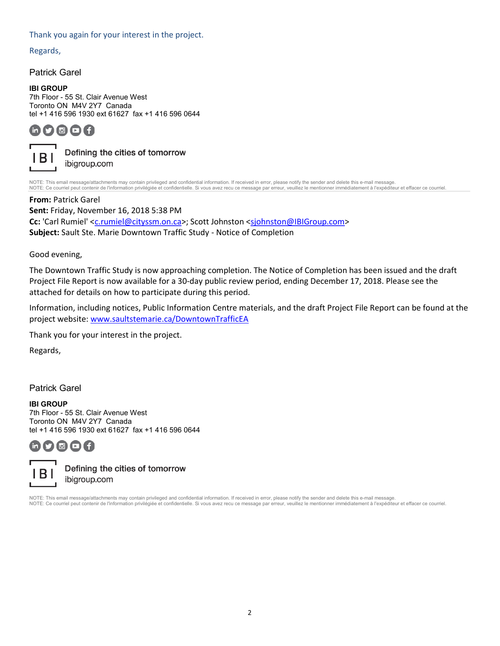#### Thank you again for your interest in the project.

Regards,

Patrick Garel

#### IBI GROUP

7th Floor - 55 St. Clair Avenue West Toronto ON M4V 2Y7 Canada tel +1 416 596 1930 ext 61627 fax +1 416 596 0644

## $\blacksquare$   $\blacksquare$   $\blacksquare$   $\blacksquare$   $\blacksquare$   $\blacksquare$



Defining the cities of tomorrow ibigroup.com

NOTE: This email message/attachments may contain privileged and confidential information. If received in error, please notify the sender and delete this e-mail message.<br>NOTE: Ce courriel peut contenir de l'information priv

From: Patrick Garel

Sent: Friday, November 16, 2018 5:38 PM Cc: 'Carl Rumiel' <c.rumiel@cityssm.on.ca>; Scott Johnston <sjohnston@IBIGroup.com> Subject: Sault Ste. Marie Downtown Traffic Study - Notice of Completion

Good evening,

The Downtown Traffic Study is now approaching completion. The Notice of Completion has been issued and the draft Project File Report is now available for a 30-day public review period, ending December 17, 2018. Please see the attached for details on how to participate during this period.

Information, including notices, Public Information Centre materials, and the draft Project File Report can be found at the project website: www.saultstemarie.ca/DowntownTrafficEA

Thank you for your interest in the project.

Regards,

Patrick Garel

#### IBI GROUP

7th Floor - 55 St. Clair Avenue West Toronto ON M4V 2Y7 Canada tel +1 416 596 1930 ext 61627 fax +1 416 596 0644





Defining the cities of tomorrow ibigroup.com

NOTE: This email message/attachments may contain privileged and confidential information. If received in error, please notify the sender and delete this e-mail message. NOTE: Ce courriel peut contenir de l'information privilégiée et confidentielle. Si vous avez recu ce message par erreur, veuillez le mentionner immédiatement à l'expéditeur et effacer ce courriel.